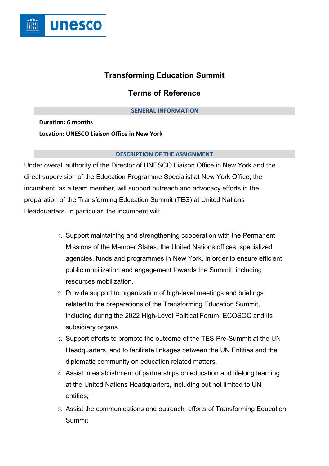

# **Transforming Education Summit**

# **Terms of Reference**

## **GENERAL INFORMATION**

**Duration: 6 months Location: UNESCO Liaison Office in New York**

### **DESCRIPTION OF THE ASSIGNMENT**

Under overall authority of the Director of UNESCO Liaison Office in New York and the direct supervision of the Education Programme Specialist at New York Office, the incumbent, as a team member, will support outreach and advocacy efforts in the preparation of the Transforming Education Summit (TES) at United Nations Headquarters. In particular, the incumbent will:

- 1. Support maintaining and strengthening cooperation with the Permanent Missions of the Member States, the United Nations offices, specialized agencies, funds and programmes in New York, in order to ensure efficient public mobilization and engagement towards the Summit, including resources mobilization.
- 2. Provide support to organization of high-level meetings and briefings related to the preparations of the Transforming Education Summit, including during the 2022 High-Level Political Forum, ECOSOC and its subsidiary organs.
- 3. Support efforts to promote the outcome of the TES Pre-Summit at the UN Headquarters, and to facilitate linkages between the UN Entities and the diplomatic community on education related matters.
- 4. Assist in establishment of partnerships on education and lifelong learning at the United Nations Headquarters, including but not limited to UN entities;
- 5. Assist the communications and outreach efforts of Transforming Education Summit